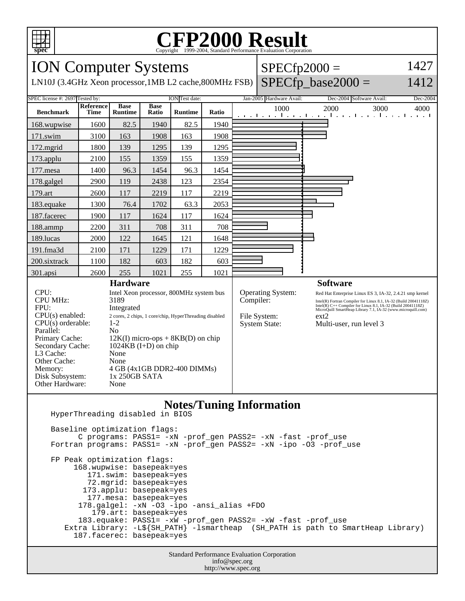

## Copyright ©1999-2004, Standard Performance Evaluation Corporation

| <b>ION Computer Systems</b>                                                                                                                                                                                                                                                                                                                                                                                                                                                                                   |             |                               |                      |                |           |                                                           | $SPECfp2000 =$                                                                                                                                                                                                                                                                                   |                                                                       | 1427     |
|---------------------------------------------------------------------------------------------------------------------------------------------------------------------------------------------------------------------------------------------------------------------------------------------------------------------------------------------------------------------------------------------------------------------------------------------------------------------------------------------------------------|-------------|-------------------------------|----------------------|----------------|-----------|-----------------------------------------------------------|--------------------------------------------------------------------------------------------------------------------------------------------------------------------------------------------------------------------------------------------------------------------------------------------------|-----------------------------------------------------------------------|----------|
| $SPECfp\_base2000 =$<br>1412<br>LN10J (3.4GHz Xeon processor, 1MB L2 cache, 800MHz FSB)                                                                                                                                                                                                                                                                                                                                                                                                                       |             |                               |                      |                |           |                                                           |                                                                                                                                                                                                                                                                                                  |                                                                       |          |
| SPEC license #: 2697 Tested by:                                                                                                                                                                                                                                                                                                                                                                                                                                                                               | Reference   |                               |                      | ION Test date: |           |                                                           | Jan-2005 Hardware Avail:                                                                                                                                                                                                                                                                         | Dec-2004 Software Avail:                                              | Dec-2004 |
| <b>Benchmark</b>                                                                                                                                                                                                                                                                                                                                                                                                                                                                                              | <b>Time</b> | <b>Base</b><br><b>Runtime</b> | <b>Base</b><br>Ratio | <b>Runtime</b> | Ratio     |                                                           | 1000                                                                                                                                                                                                                                                                                             | 2000<br>3000<br>التوازع التواطأ والمتواطئ والتواطئ والتواطئ والمتواطئ | 4000     |
| 168.wupwise                                                                                                                                                                                                                                                                                                                                                                                                                                                                                                   | 1600        | 82.5                          | 1940                 | 82.5           | 1940      |                                                           |                                                                                                                                                                                                                                                                                                  |                                                                       |          |
| 171.swim                                                                                                                                                                                                                                                                                                                                                                                                                                                                                                      | 3100        | 163                           | 1908                 | 163            | 1908      |                                                           |                                                                                                                                                                                                                                                                                                  |                                                                       |          |
| 172.mgrid                                                                                                                                                                                                                                                                                                                                                                                                                                                                                                     | 1800        | 139                           | 1295                 | 139            | 1295      |                                                           |                                                                                                                                                                                                                                                                                                  |                                                                       |          |
| 173.applu                                                                                                                                                                                                                                                                                                                                                                                                                                                                                                     | 2100        | 155                           | 1359                 | 155            | 1359      |                                                           |                                                                                                                                                                                                                                                                                                  |                                                                       |          |
| 177.mesa                                                                                                                                                                                                                                                                                                                                                                                                                                                                                                      | 1400        | 96.3                          | 1454                 | 96.3           | 1454      |                                                           |                                                                                                                                                                                                                                                                                                  |                                                                       |          |
| 178.galgel                                                                                                                                                                                                                                                                                                                                                                                                                                                                                                    | 2900        | 119                           | 2438                 | 123            | 2354      |                                                           |                                                                                                                                                                                                                                                                                                  |                                                                       |          |
| 179.art                                                                                                                                                                                                                                                                                                                                                                                                                                                                                                       | 2600        | 117                           | 2219                 | 117            | 2219      |                                                           |                                                                                                                                                                                                                                                                                                  |                                                                       |          |
| 183.equake                                                                                                                                                                                                                                                                                                                                                                                                                                                                                                    | 1300        | 76.4                          | 1702                 | 63.3           | 2053      |                                                           |                                                                                                                                                                                                                                                                                                  |                                                                       |          |
| 187.facerec                                                                                                                                                                                                                                                                                                                                                                                                                                                                                                   | 1900        | 117                           | 1624                 | 117            | 1624      |                                                           |                                                                                                                                                                                                                                                                                                  |                                                                       |          |
| 188.ammp                                                                                                                                                                                                                                                                                                                                                                                                                                                                                                      | 2200        | 311                           | 708                  | 311            | 708       |                                                           |                                                                                                                                                                                                                                                                                                  |                                                                       |          |
| 189.lucas                                                                                                                                                                                                                                                                                                                                                                                                                                                                                                     | 2000        | 122                           | 1645                 | 121            | 1648      |                                                           |                                                                                                                                                                                                                                                                                                  |                                                                       |          |
| 191.fma3d                                                                                                                                                                                                                                                                                                                                                                                                                                                                                                     | 2100        | 171                           | 1229                 | 171            | 1229      |                                                           |                                                                                                                                                                                                                                                                                                  |                                                                       |          |
| 200.sixtrack                                                                                                                                                                                                                                                                                                                                                                                                                                                                                                  | 1100        | 182                           | 603                  | 182            | 603       |                                                           |                                                                                                                                                                                                                                                                                                  |                                                                       |          |
| 301.apsi                                                                                                                                                                                                                                                                                                                                                                                                                                                                                                      | 2600        | 255                           | 1021                 | 255            | 1021      |                                                           |                                                                                                                                                                                                                                                                                                  |                                                                       |          |
| CPU:<br>Intel Xeon processor, 800MHz system bus<br><b>CPU MHz:</b><br>3189<br>FPU:<br>Integrated<br>$CPU(s)$ enabled:<br>2 cores, 2 chips, 1 core/chip, HyperThreading disabled<br>$CPU(s)$ orderable:<br>$1 - 2$<br>Parallel:<br>N <sub>0</sub><br>Primary Cache:<br>$12K(I)$ micro-ops + 8KB(D) on chip<br>Secondary Cache:<br>$1024KB$ (I+D) on chip<br>L3 Cache:<br>None<br>Other Cache:<br>None<br>4 GB (4x1GB DDR2-400 DIMMs)<br>Memory:<br>Disk Subsystem:<br>1x 250GB SATA<br>Other Hardware:<br>None |             |                               |                      |                | Compiler: | Operating System:<br>File System:<br><b>System State:</b> | Red Hat Enterprise Linux ES 3, IA-32, 2.4.21 smp kernel<br>Intel(R) Fortran Compiler for Linux 8.1, IA-32 (Build 20041118Z)<br>Intel(R) $C++$ Compiler for Linux 8.1, IA-32 (Build 20041118Z)<br>MicroQuill SmartHeap Library 7.1, IA-32 (www.microquill.com)<br>ext2<br>Multi-user, run level 3 |                                                                       |          |
| <b>Notes/Tuning Information</b><br>HyperThreading disabled in BIOS<br>Baseline optimization flags:<br>C programs: PASS1= -xN -prof_gen PASS2= -xN -fast -prof_use<br>Fortran programs: PASS1= -xN -prof_gen PASS2= -xN -ipo -03 -prof_use<br>FP Peak optimization flags:<br>168.wupwise: basepeak=yes<br>171.swim: basepeak=yes                                                                                                                                                                               |             |                               |                      |                |           |                                                           |                                                                                                                                                                                                                                                                                                  |                                                                       |          |
| 72.mgrid: basepeak=yes<br>173.applu: basepeak=yes<br>177. mesa: basepeak=yes<br>178.galgel: -xN -03 -ipo -ansi_alias +FDO<br>179.art: basepeak=yes<br>183.equake: PASS1= -xW -prof_gen PASS2= -xW -fast -prof_use<br>Extra Library: -L\${SH_PATH} -lsmartheap (SH_PATH is path to SmartHeap Library)<br>187. facerec: basepeak=yes<br>Standard Darformange Evaluation Compration                                                                                                                              |             |                               |                      |                |           |                                                           |                                                                                                                                                                                                                                                                                                  |                                                                       |          |

Standard Performance Evaluation Corporation info@spec.org http://www.spec.org